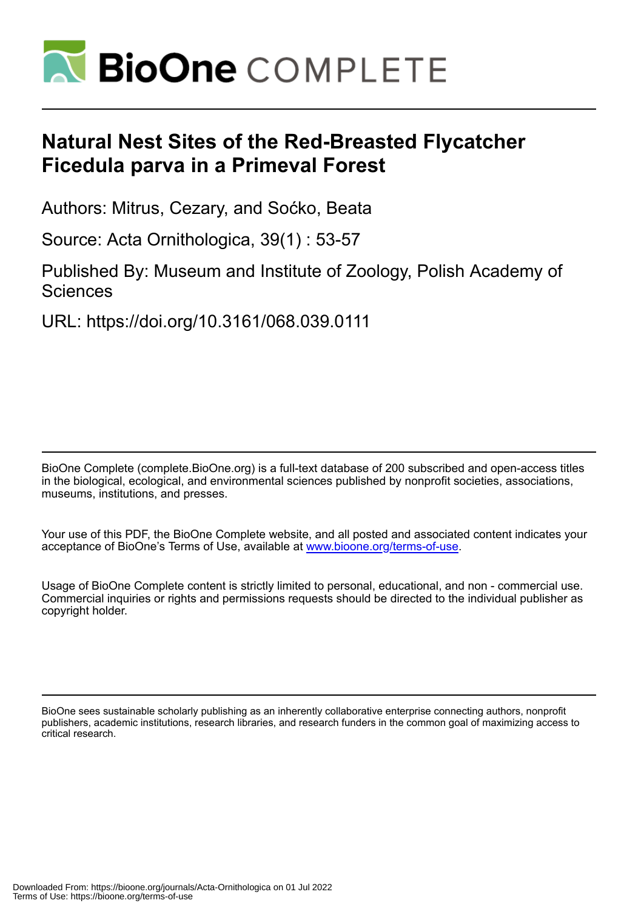

# **Natural Nest Sites of the Red-Breasted Flycatcher Ficedula parva in a Primeval Forest**

Authors: Mitrus, Cezary, and Soćko, Beata

Source: Acta Ornithologica, 39(1) : 53-57

Published By: Museum and Institute of Zoology, Polish Academy of **Sciences** 

URL: https://doi.org/10.3161/068.039.0111

BioOne Complete (complete.BioOne.org) is a full-text database of 200 subscribed and open-access titles in the biological, ecological, and environmental sciences published by nonprofit societies, associations, museums, institutions, and presses.

Your use of this PDF, the BioOne Complete website, and all posted and associated content indicates your acceptance of BioOne's Terms of Use, available at www.bioone.org/terms-of-use.

Usage of BioOne Complete content is strictly limited to personal, educational, and non - commercial use. Commercial inquiries or rights and permissions requests should be directed to the individual publisher as copyright holder.

BioOne sees sustainable scholarly publishing as an inherently collaborative enterprise connecting authors, nonprofit publishers, academic institutions, research libraries, and research funders in the common goal of maximizing access to critical research.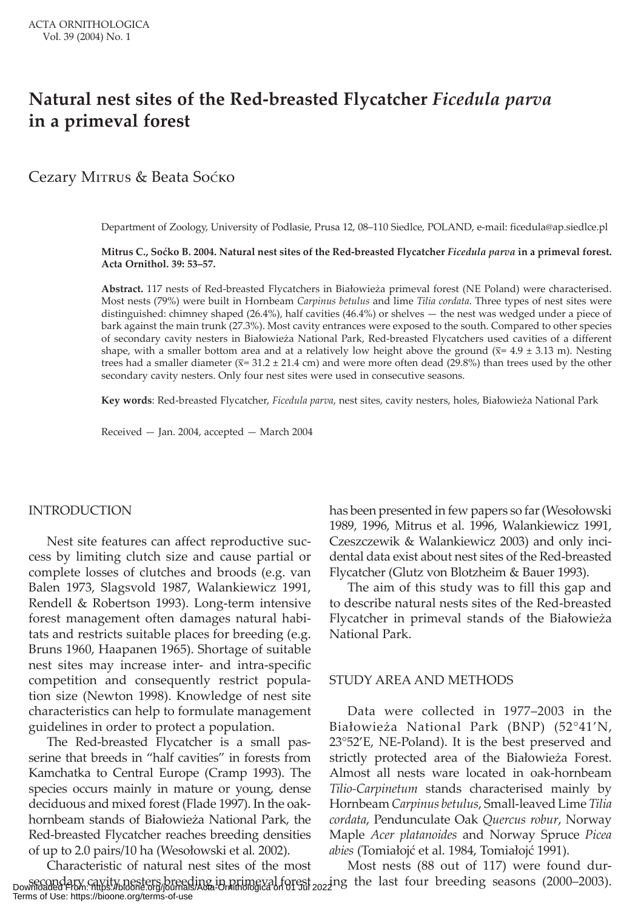# **Natural nest sites of the Red-breasted Flycatcher** *Ficedula parva*  **in a primeval forest**

Cezary MITRUS & Beata Sоско

Department of Zoology, University of Podlasie, Prusa 12, 08–110 Siedlce, POLAND, e-mail: ficedula@ap.siedlce.pl

**Mitrus C., Soćko B. 2004. Natural nest sites of the Red-breasted Flycatcher** *Ficedula parva* **in a primeval forest. Acta Ornithol. 39: 53–57.**

**Abstract.** 117 nests of Red-breasted Flycatchers in Białowieża primeval forest (NE Poland) were characterised. Most nests (79%) were built in Hornbeam *Carpinus betulus* and lime *Tilia cordata*. Three types of nest sites were distinguished: chimney shaped (26.4%), half cavities (46.4%) or shelves — the nest was wedged under a piece of bark against the main trunk (27.3%). Most cavity entrances were exposed to the south. Compared to other species of secondary cavity nesters in Białowieża National Park, Red-breasted Flycatchers used cavities of a different shape, with a smaller bottom area and at a relatively low height above the ground  $(\overline{x} = 4.9 \pm 3.13 \text{ m})$ . Nesting trees had a smaller diameter ( $\overline{x}$ = 31.2 ± 21.4 cm) and were more often dead (29.8%) than trees used by the other secondary cavity nesters. Only four nest sites were used in consecutive seasons.

**Key words**: Red-breasted Flycatcher, *Ficedula parva*, nest sites, cavity nesters, holes, Białowieża National Park

Received — Jan. 2004, accepted — March 2004

# INTRODUCTION

Nest site features can affect reproductive success by limiting clutch size and cause partial or complete losses of clutches and broods (e.g. van Balen 1973, Slagsvold 1987, Walankiewicz 1991, Rendell & Robertson 1993). Long-term intensive forest management often damages natural habitats and restricts suitable places for breeding (e.g. Bruns 1960, Haapanen 1965). Shortage of suitable nest sites may increase inter- and intra-specific competition and consequently restrict population size (Newton 1998). Knowledge of nest site characteristics can help to formulate management guidelines in order to protect a population.

The Red-breasted Flycatcher is a small passerine that breeds in "half cavities" in forests from Kamchatka to Central Europe (Cramp 1993). The species occurs mainly in mature or young, dense deciduous and mixed forest (Flade 1997). In the oakhornbeam stands of Białowieża National Park, the Red-breasted Flycatcher reaches breeding densities of up to 2.0 pairs/10 ha (Wesołowski et al*.* 2002).

Characteristic of natural nest sites of the most secondary cavity nesters breeding in primeval forest<br>Downloaded From: https://bioone.org/journals/Acta-Ornithologica on 01 Jul 2022 1g the last four breeding seasons (2000–2003). Most nests (88 out of 117) were found dur-Terms of Use: https://bioone.org/terms-of-use

has been presented in few papers so far (Wesołowski 1989, 1996, Mitrus et al. 1996, Walankiewicz 1991, Czeszczewik & Walankiewicz 2003) and only incidental data exist about nest sites of the Red-breasted Flycatcher (Glutz von Blotzheim & Bauer 1993).

The aim of this study was to fill this gap and to describe natural nests sites of the Red-breasted Flycatcher in primeval stands of the Białowieża National Park.

## STUDY AREA AND METHODS

Data were collected in 1977–2003 in the Białowieża National Park (BNP) (52°41'N, 23°52'E, NE-Poland). It is the best preserved and strictly protected area of the Białowieża Forest. Almost all nests ware located in oak-hornbeam *Tilio-Carpinetum* stands characterised mainly by Hornbeam *Carpinus betulus*, Small-leaved Lime *Tilia cordata*, Pendunculate Oak *Quercus robur*, Norway Maple *Acer platanoides* and Norway Spruce *Picea abies* (Tomiałojć et al. 1984, Tomiałojć 1991).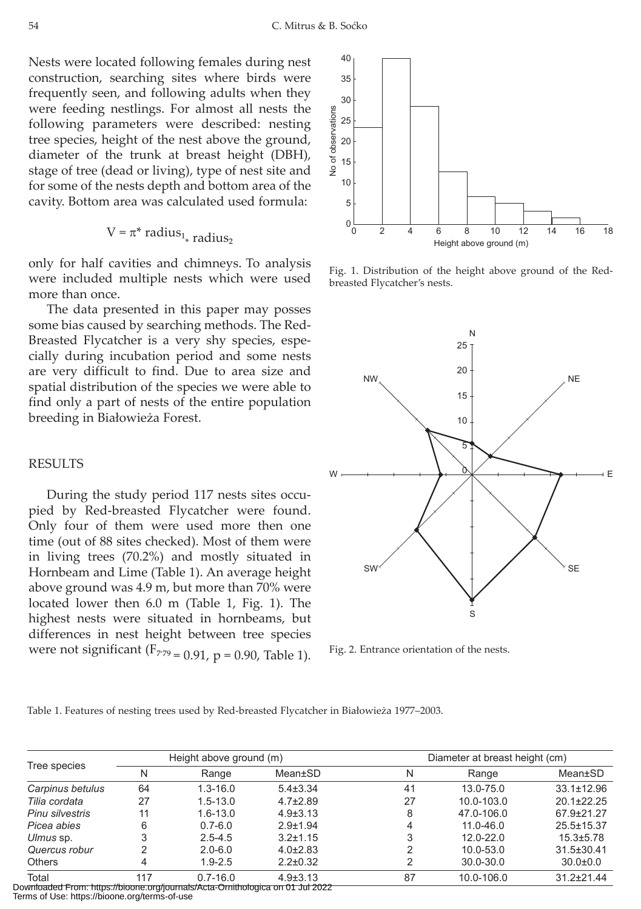Nests were located following females during nest construction, searching sites where birds were frequently seen, and following adults when they were feeding nestlings. For almost all nests the following parameters were described: nesting tree species, height of the nest above the ground, diameter of the trunk at breast height (DBH), stage of tree (dead or living), type of nest site and for some of the nests depth and bottom area of the cavity. Bottom area was calculated used formula:

$$
V = \pi^*
$$
 radius<sub>1<sub>\*</sub></sub> radius<sub>2</sub>

only for half cavities and chimneys. To analysis were included multiple nests which were used more than once.

The data presented in this paper may posses some bias caused by searching methods. The Red-Breasted Flycatcher is a very shy species, especially during incubation period and some nests are very difficult to find. Due to area size and spatial distribution of the species we were able to find only a part of nests of the entire population breeding in Białowieża Forest.

#### RESULTS

During the study period 117 nests sites occupied by Red-breasted Flycatcher were found. Only four of them were used more then one time (out of 88 sites checked). Most of them were in living trees (70.2%) and mostly situated in Hornbeam and Lime (Table 1). An average height above ground was 4.9 m, but more than 70% were located lower then 6.0 m (Table 1, Fig. 1). The highest nests were situated in hornbeams, but differences in nest height between tree species were not significant ( $F_{779}$  = 0.91, p = 0.90, Table 1).



Fig. 1. Distribution of the height above ground of the Redbreasted Flycatcher's nests.



Fig. 2. Entrance orientation of the nests.

| Table 1. Features of nesting trees used by Red-breasted Flycatcher in Białowieża 1977–2003. |  |  |  |  |
|---------------------------------------------------------------------------------------------|--|--|--|--|
|---------------------------------------------------------------------------------------------|--|--|--|--|

| Tree species    | Height above ground (m) |              |                | Diameter at breast height (cm) |               |                  |                  |
|-----------------|-------------------------|--------------|----------------|--------------------------------|---------------|------------------|------------------|
|                 |                         |              |                |                                |               |                  |                  |
|                 | Carpinus betulus        | 64           | $1.3 - 16.0$   | $5.4 \pm 3.34$                 | 41            | 13.0-75.0        | $33.1 \pm 12.96$ |
| Tilia cordata   | 27                      | $1.5 - 13.0$ | $4.7{\pm}2.89$ | 27                             | 10.0-103.0    | $20.1 \pm 22.25$ |                  |
| Pinu silvestris | 11                      | $1.6 - 13.0$ | $4.9\pm3.13$   | 8                              | 47.0-106.0    | 67.9±21.27       |                  |
| Picea abies     | 6                       | $0.7 - 6.0$  | $2.9 + 1.94$   |                                | $11.0 - 46.0$ | $25.5 \pm 15.37$ |                  |
| Ulmus sp.       |                         | $2.5 - 4.5$  | $3.2 \pm 1.15$ | 3                              | $12.0 - 22.0$ | $15.3 \pm 5.78$  |                  |
| Quercus robur   |                         | $2.0 - 6.0$  | $4.0\pm2.83$   |                                | $10.0 - 53.0$ | $31.5 \pm 30.41$ |                  |
| <b>Others</b>   |                         | $1.9 - 2.5$  | $2.2 \pm 0.32$ |                                | $30.0 - 30.0$ | $30.0 + 0.0$     |                  |
| Total           | 117                     | $0.7 - 16.0$ | $4.9 \pm 3.13$ | 87                             | 10.0-106.0    | $31.2 \pm 21.44$ |                  |

Downloaded From: https://bioone.org/journals/Acta-Ornithologica on 01 Jul 2022 Terms of Use: https://bioone.org/terms-of-use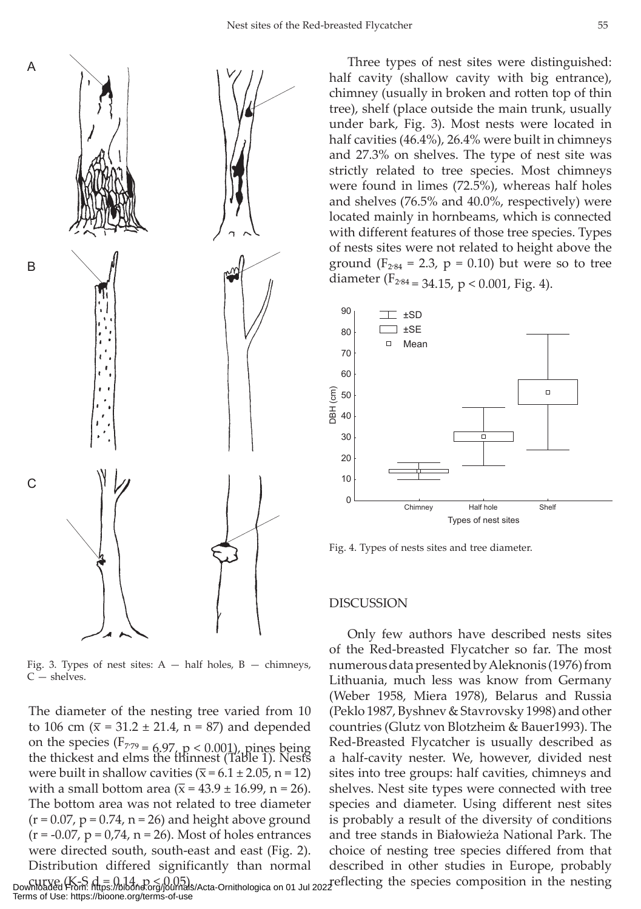

Fig. 3. Types of nest sites:  $A - \text{half holes, } B - \text{chimneys,}$  $C -$ shelves.

The diameter of the nesting tree varied from 10 to 106 cm ( $\bar{x}$  = 31.2 ± 21.4, n = 87) and depended on the species  $(F_{779} = 6.97, p < 0.001)$ , pines being the thickest and elms the thinnest (Table 1). Nests were built in shallow cavities  $(\overline{x} = 6.1 \pm 2.05, n = 12)$ with a small bottom area ( $\bar{x}$  = 43.9 ± 16.99, n = 26). The bottom area was not related to tree diameter  $(r = 0.07, p = 0.74, n = 26)$  and height above ground  $(r = -0.07, p = 0.74, n = 26)$ . Most of holes entrances were directed south, south-east and east (Fig. 2). Distribution differed significantly than normal

Three types of nest sites were distinguished: half cavity (shallow cavity with big entrance), chimney (usually in broken and rotten top of thin tree), shelf (place outside the main trunk, usually under bark, Fig. 3). Most nests were located in half cavities (46.4%), 26.4% were built in chimneys and 27.3% on shelves. The type of nest site was strictly related to tree species. Most chimneys were found in limes (72.5%), whereas half holes and shelves (76.5% and 40.0%, respectively) were located mainly in hornbeams, which is connected with different features of those tree species. Types of nests sites were not related to height above the ground  $(F_{284} = 2.3, p = 0.10)$  but were so to tree diameter ( $F_{2'84}$  = 34.15, p < 0.001, Fig. 4).



Fig. 4. Types of nests sites and tree diameter.

#### DISCUSSION

Only few authors have described nests sites of the Red-breasted Flycatcher so far. The most numerous data presented by Aleknonis (1976) from Lithuania, much less was know from Germany (Weber 1958, Miera 1978), Belarus and Russia (Peklo 1987, Byshnev & Stavrovsky 1998) and other countries (Glutz von Blotzheim & Bauer1993). The Red-Breasted Flycatcher is usually described as a half-cavity nester. We, however, divided nest sites into tree groups: half cavities, chimneys and shelves. Nest site types were connected with tree species and diameter. Using different nest sites is probably a result of the diversity of conditions and tree stands in Białowieża National Park. The choice of nesting tree species differed from that described in other studies in Europe, probably

curve (K-S d = 0.14, p < 0.05).<br>Downloaded From: https://bioone.org/journals/Acta-Ornithologica on 01 Jul 2022 effecting the species composition in the nesting Terms of Use: https://bioone.org/terms-of-use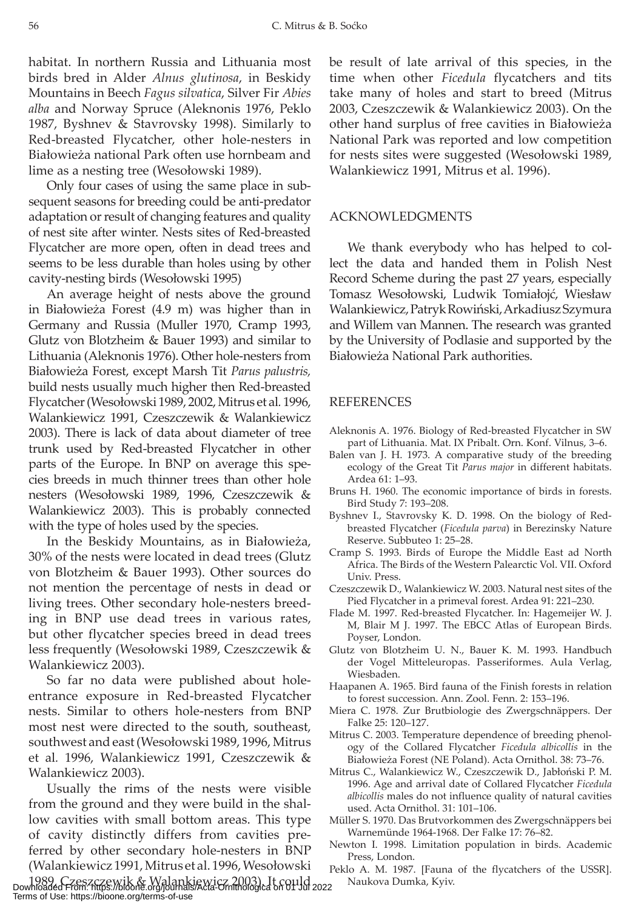56 C. Mitrus & B. Soćko

habitat. In northern Russia and Lithuania most birds bred in Alder *Alnus glutinosa*, in Beskidy Mountains in Beech *Fagus silvatica*, Silver Fir *Abies alba* and Norway Spruce (Aleknonis 1976, Peklo 1987, Byshnev & Stavrovsky 1998). Similarly to Red-breasted Flycatcher, other hole-nesters in Białowieża national Park often use hornbeam and lime as a nesting tree (Wesołowski 1989).

Only four cases of using the same place in subsequent seasons for breeding could be anti-predator adaptation or result of changing features and quality of nest site after winter. Nests sites of Red-breasted Flycatcher are more open, often in dead trees and seems to be less durable than holes using by other cavity-nesting birds (Wesołowski 1995)

An average height of nests above the ground in Białowieża Forest (4.9 m) was higher than in Germany and Russia (Muller 1970, Cramp 1993, Glutz von Blotzheim & Bauer 1993) and similar to Lithuania (Aleknonis 1976). Other hole-nesters from Białowieża Forest, except Marsh Tit *Parus palustris,* build nests usually much higher then Red-breasted Flycatcher (Wesołowski 1989, 2002, Mitrus et al*.* 1996, Walankiewicz 1991, Czeszczewik & Walankiewicz 2003). There is lack of data about diameter of tree trunk used by Red-breasted Flycatcher in other parts of the Europe. In BNP on average this species breeds in much thinner trees than other hole nesters (Wesołowski 1989, 1996, Czeszczewik & Walankiewicz 2003). This is probably connected with the type of holes used by the species.

In the Beskidy Mountains, as in Białowieża, 30% of the nests were located in dead trees (Glutz von Blotzheim & Bauer 1993). Other sources do not mention the percentage of nests in dead or living trees. Other secondary hole-nesters breeding in BNP use dead trees in various rates, but other flycatcher species breed in dead trees less frequently (Wesołowski 1989, Czeszczewik & Walankiewicz 2003).

So far no data were published about holeentrance exposure in Red-breasted Flycatcher nests. Similar to others hole-nesters from BNP most nest were directed to the south, southeast, southwest and east (Wesołowski 1989, 1996, Mitrus et al*.* 1996, Walankiewicz 1991, Czeszczewik & Walankiewicz 2003).

Usually the rims of the nests were visible from the ground and they were build in the shallow cavities with small bottom areas. This type of cavity distinctly differs from cavities preferred by other secondary hole-nesters in BNP (Walankiewicz 1991, Mitrus et al. 1996, Wesołowski

1989, Czeszczewik & Walankiewicz 2003). It could Naukova Dumka, Kyiv. Downloaded From: https://bioone.org/journals/Acta-Ornithologica on 01 Jul 2022 Terms of Use: https://bioone.org/terms-of-use

be result of late arrival of this species, in the time when other *Ficedula* flycatchers and tits take many of holes and start to breed (Mitrus 2003, Czeszczewik & Walankiewicz 2003). On the other hand surplus of free cavities in Białowieża National Park was reported and low competition for nests sites were suggested (Wesołowski 1989, Walankiewicz 1991, Mitrus et al. 1996).

## ACKNOWLEDGMENTS

We thank everybody who has helped to collect the data and handed them in Polish Nest Record Scheme during the past 27 years, especially Tomasz Wesołowski, Ludwik Tomiałojć, Wiesław Walankiewicz, Patryk Rowiński, Arkadiusz Szymura and Willem van Mannen. The research was granted by the University of Podlasie and supported by the Białowieża National Park authorities.

# REFERENCES

- Aleknonis A. 1976. Biology of Red-breasted Flycatcher in SW part of Lithuania. Mat. IX Pribalt. Orn. Konf. Vilnus, 3–6.
- Balen van J. H. 1973. A comparative study of the breeding ecology of the Great Tit *Parus major* in different habitats. Ardea 61: 1–93.
- Bruns H. 1960. The economic importance of birds in forests. Bird Study 7: 193–208.
- Byshnev I., Stavrovsky K. D. 1998. On the biology of Redbreasted Flycatcher (*Ficedula parva*) in Berezinsky Nature Reserve. Subbuteo 1: 25–28.
- Cramp S. 1993. Birds of Europe the Middle East ad North Africa. The Birds of the Western Palearctic Vol. VII. Oxford Univ. Press.
- Czeszczewik D., Walankiewicz W. 2003. Natural nest sites of the Pied Flycatcher in a primeval forest. Ardea 91: 221–230.
- Flade M. 1997. Red-breasted Flycatcher. In: Hagemeijer W. J. M, Blair M J. 1997. The EBCC Atlas of European Birds. Poyser, London.
- Glutz von Blotzheim U. N., Bauer K. M. 1993. Handbuch der Vogel Mitteleuropas. Passeriformes. Aula Verlag, Wiesbaden.
- Haapanen A. 1965. Bird fauna of the Finish forests in relation to forest succession. Ann. Zool. Fenn. 2: 153–196.
- Miera C. 1978. Zur Brutbiologie des Zwergschnäppers. Der Falke 25: 120–127.
- Mitrus C. 2003. Temperature dependence of breeding phenology of the Collared Flycatcher *Ficedula albicollis* in the Białowieża Forest (NE Poland). Acta Ornithol. 38: 73–76.
- Mitrus C., Walankiewicz W., Czeszczewik D., Jabłoński P. M. 1996. Age and arrival date of Collared Flycatcher *Ficedula albicollis* males do not influence quality of natural cavities used. Acta Ornithol. 31: 101–106.
- Müller S. 1970. Das Brutvorkommen des Zwergschnäppers bei Warnemünde 1964-1968. Der Falke 17: 76–82.
- Newton I. 1998. Limitation population in birds. Academic Press, London.
- Peklo A. M. 1987. [Fauna of the flycatchers of the USSR].<br>
Allahova Dumka, Kyiv.